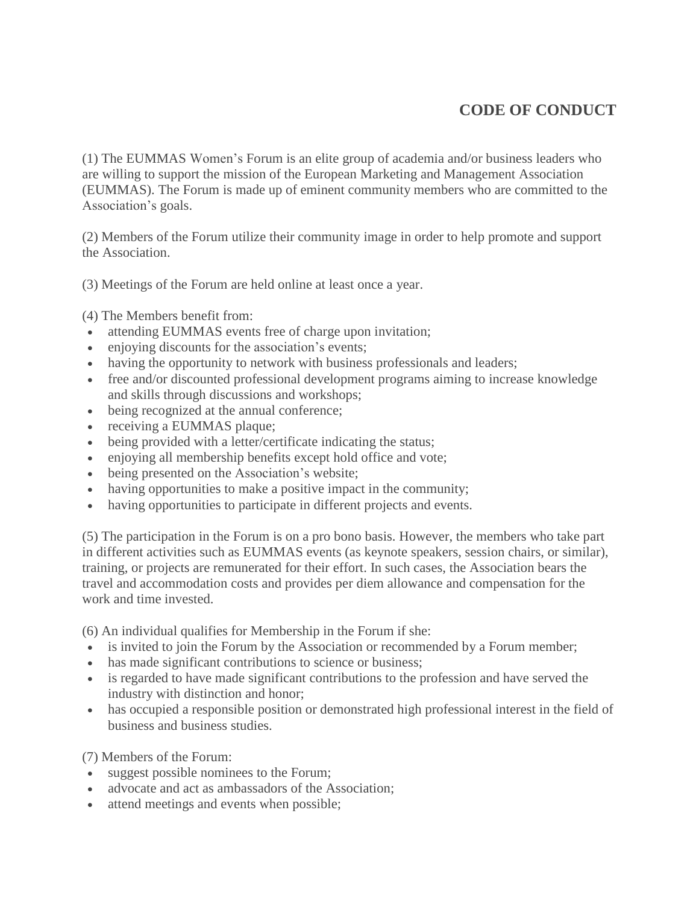## **CODE OF CONDUCT**

(1) The EUMMAS Women's Forum is an elite group of academia and/or business leaders who are willing to support the mission of the European Marketing and Management Association (EUMMAS). The Forum is made up of eminent community members who are committed to the Association's goals.

(2) Members of the Forum utilize their community image in order to help promote and support the Association.

(3) Meetings of the Forum are held online at least once a year.

(4) The Members benefit from:

- attending EUMMAS events free of charge upon invitation;
- enjoying discounts for the association's events;
- having the opportunity to network with business professionals and leaders;
- free and/or discounted professional development programs aiming to increase knowledge and skills through discussions and workshops;
- being recognized at the annual conference;
- receiving a EUMMAS plaque;
- being provided with a letter/certificate indicating the status;
- enjoying all membership benefits except hold office and vote;
- being presented on the Association's website;
- having opportunities to make a positive impact in the community;
- having opportunities to participate in different projects and events.

(5) The participation in the Forum is on a pro bono basis. However, the members who take part in different activities such as EUMMAS events (as keynote speakers, session chairs, or similar), training, or projects are remunerated for their effort. In such cases, the Association bears the travel and accommodation costs and provides per diem allowance and compensation for the work and time invested.

(6) An individual qualifies for Membership in the Forum if she:

- is invited to join the Forum by the Association or recommended by a Forum member;
- has made significant contributions to science or business;
- is regarded to have made significant contributions to the profession and have served the industry with distinction and honor;
- has occupied a responsible position or demonstrated high professional interest in the field of business and business studies.

(7) Members of the Forum:

- suggest possible nominees to the Forum;
- advocate and act as ambassadors of the Association;
- attend meetings and events when possible;